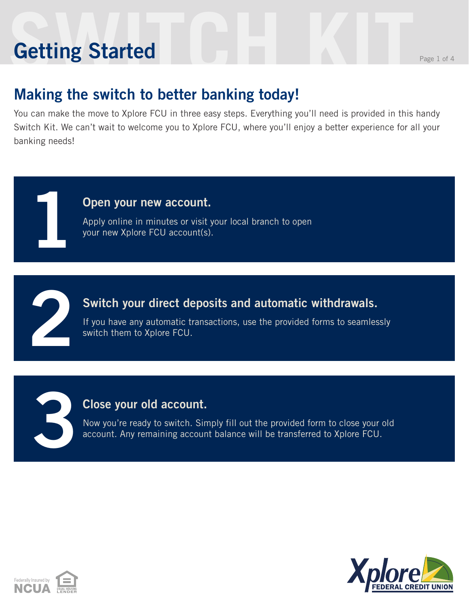# **Setting Started** Reserves the Page 1 of 4 **Getting Started**

**1**

**2**

**3**

### **Making the switch to better banking today!**

You can make the move to Xplore FCU in three easy steps. Everything you'll need is provided in this handy Switch Kit. We can't wait to welcome you to Xplore FCU, where you'll enjoy a better experience for all your banking needs!

#### **Open your new account.**

Apply online in minutes or visit your local branch to open your new Xplore FCU account(s).

#### **Switch your direct deposits and automatic withdrawals.**

If you have any automatic transactions, use the provided forms to seamlessly switch them to Xplore FCU.

#### **Close your old account.**

Now you're ready to switch. Simply fill out the provided form to close your old account. Any remaining account balance will be transferred to Xplore FCU.



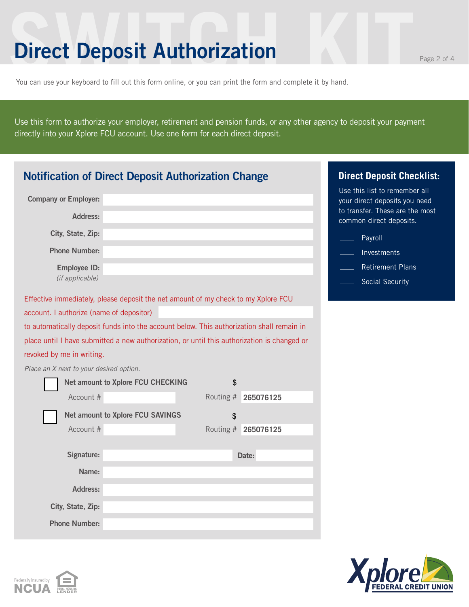### **Direct Deposit Authorization**

Federally Insured by **NCUA** 

You can use your keyboard to fill out this form online, or you can print the form and complete it by hand.

Use this form to authorize your employer, retirement and pension funds, or any other agency to deposit your payment directly into your Xplore FCU account. Use one form for each direct deposit.

| <b>Notification of Direct Deposit Authorization Change</b>                                  | <b>Direct Deposit Checklist:</b>        |                     |                                                                |
|---------------------------------------------------------------------------------------------|-----------------------------------------|---------------------|----------------------------------------------------------------|
| <b>Company or Employer:</b>                                                                 |                                         |                     | Use this list to remember all<br>your direct deposits you need |
| Address:                                                                                    |                                         |                     | to transfer. These are the most<br>common direct deposits.     |
| City, State, Zip:                                                                           |                                         |                     | Payroll                                                        |
| <b>Phone Number:</b>                                                                        |                                         |                     | Investments                                                    |
| <b>Employee ID:</b>                                                                         |                                         |                     | <b>Retirement Plans</b>                                        |
| (if applicable)                                                                             |                                         |                     | <b>Social Security</b>                                         |
| Effective immediately, please deposit the net amount of my check to my Xplore FCU           |                                         |                     |                                                                |
| account. I authorize (name of depositor)                                                    |                                         |                     |                                                                |
| to automatically deposit funds into the account below. This authorization shall remain in   |                                         |                     |                                                                |
| place until I have submitted a new authorization, or until this authorization is changed or |                                         |                     |                                                                |
| revoked by me in writing.                                                                   |                                         |                     |                                                                |
| Place an X next to your desired option.                                                     |                                         |                     |                                                                |
|                                                                                             | Net amount to Xplore FCU CHECKING       | \$                  |                                                                |
| Account #                                                                                   |                                         | Routing # 265076125 |                                                                |
|                                                                                             | <b>Net amount to Xplore FCU SAVINGS</b> | \$                  |                                                                |
| Account #                                                                                   |                                         | Routing # 265076125 |                                                                |
|                                                                                             |                                         |                     |                                                                |
| Signature:                                                                                  |                                         | Date:               |                                                                |
| Name:                                                                                       |                                         |                     |                                                                |
| Address:                                                                                    |                                         |                     |                                                                |
| City, State, Zip:                                                                           |                                         |                     |                                                                |
| <b>Phone Number:</b>                                                                        |                                         |                     |                                                                |



**FEDERAL CREDIT UNION**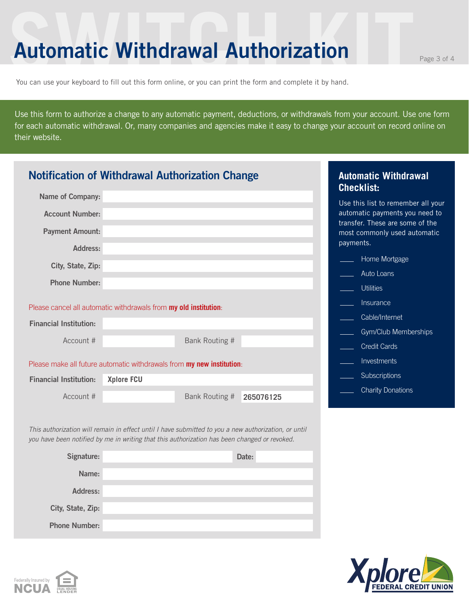### **Automatic Withdrawal Authorization**

You can use your keyboard to fill out this form online, or you can print the form and complete it by hand.

Use this form to authorize a change to any automatic payment, deductions, or withdrawals from your account. Use one form for each automatic withdrawal. Or, many companies and agencies make it easy to change your account on record online on their website.

| <b>Notification of Withdrawal Authorization Change</b>                                                                                                                                               |                                                                       | <b>Automatic Withdrawal</b><br><b>Checklist:</b> |                                                                              |  |  |
|------------------------------------------------------------------------------------------------------------------------------------------------------------------------------------------------------|-----------------------------------------------------------------------|--------------------------------------------------|------------------------------------------------------------------------------|--|--|
| Name of Company:                                                                                                                                                                                     |                                                                       |                                                  | Use this list to remember all your                                           |  |  |
| <b>Account Number:</b>                                                                                                                                                                               |                                                                       |                                                  | automatic payments you need to                                               |  |  |
| <b>Payment Amount:</b>                                                                                                                                                                               |                                                                       |                                                  | transfer. These are some of the<br>most commonly used automatic<br>payments. |  |  |
| Address:                                                                                                                                                                                             |                                                                       |                                                  | Home Mortgage                                                                |  |  |
| City, State, Zip:                                                                                                                                                                                    |                                                                       |                                                  | Auto Loans                                                                   |  |  |
| <b>Phone Number:</b>                                                                                                                                                                                 |                                                                       |                                                  | <b>Utilities</b>                                                             |  |  |
|                                                                                                                                                                                                      | Please cancel all automatic withdrawals from my old institution:      |                                                  | Insurance                                                                    |  |  |
| <b>Financial Institution:</b>                                                                                                                                                                        |                                                                       |                                                  | Cable/Internet                                                               |  |  |
|                                                                                                                                                                                                      |                                                                       |                                                  | Gym/Club Memberships                                                         |  |  |
| Account #                                                                                                                                                                                            | Bank Routing #                                                        |                                                  | <b>Credit Cards</b>                                                          |  |  |
|                                                                                                                                                                                                      | Please make all future automatic withdrawals from my new institution: |                                                  | Investments                                                                  |  |  |
| <b>Financial Institution:</b>                                                                                                                                                                        | <b>Xplore FCU</b>                                                     |                                                  | Subscriptions                                                                |  |  |
| Account #                                                                                                                                                                                            | Bank Routing #                                                        | 265076125                                        | <b>Charity Donations</b>                                                     |  |  |
| This authorization will remain in effect until I have submitted to you a new authorization, or until<br>you have been notified by me in writing that this authorization has been changed or revoked. |                                                                       |                                                  |                                                                              |  |  |
| Signature:                                                                                                                                                                                           |                                                                       | Date:                                            |                                                                              |  |  |
| Name:                                                                                                                                                                                                |                                                                       |                                                  |                                                                              |  |  |
| <b>Address:</b>                                                                                                                                                                                      |                                                                       |                                                  |                                                                              |  |  |

**Phone Number:**

**City, State, Zip:**